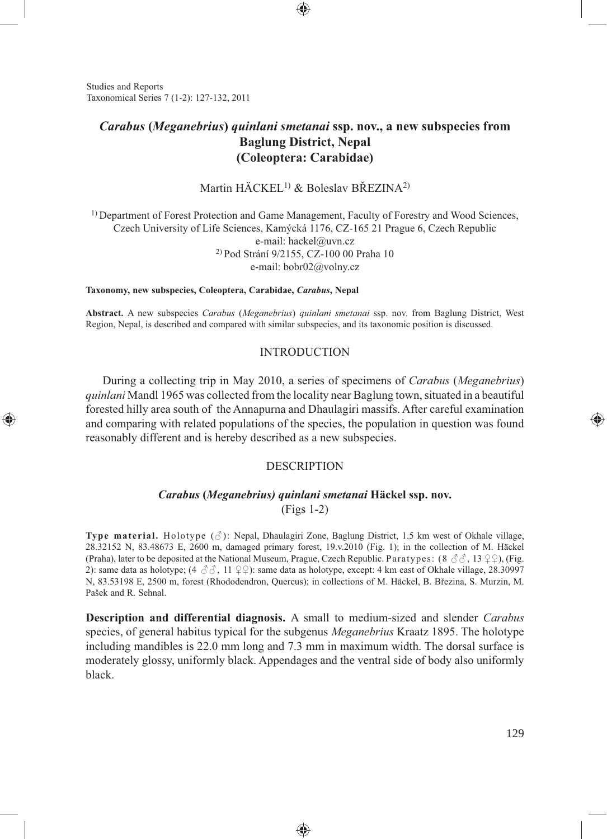Studies and Reports Taxonomical Series 7 (1-2): 127-132, 2011

⊕

# *Carabus* **(***Meganebrius***)** *quinlani smetanai* **ssp. nov., a new subspecies from Baglung District, Nepal (Coleoptera: Carabidae)**

⊕

## Martin HÄCKEL1) & Boleslav BŘEZINA2)

1) Department of Forest Protection and Game Management, Faculty of Forestry and Wood Sciences, Czech University of Life Sciences, Kamýcká 1176, CZ-165 21 Prague 6, Czech Republic e-mail: hackel@uvn.cz 2) Pod Strání 9/2155, CZ-100 00 Praha 10 e-mail: bobr02@volny.cz

#### **Taxonomy, new subspecies, Coleoptera, Carabidae,** *Carabus***, Nepal**

**Abstract.** A new subspecies *Carabus* (*Meganebrius*) *quinlani smetanai* ssp. nov. from Baglung District, West Region, Nepal, is described and compared with similar subspecies, and its taxonomic position is discussed.

### INTRODUCTION

During a collecting trip in May 2010, a series of specimens of *Carabus* (*Meganebrius*) *quinlani* Mandl 1965 was collected from the locality near Baglung town, situated in a beautiful forested hilly area south of the Annapurna and Dhaulagiri massifs. After careful examination and comparing with related populations of the species, the population in question was found reasonably different and is hereby described as a new subspecies.

### DESCRIPTION

### *Carabus* **(***Meganebrius) quinlani smetanai* **Häckel ssp. nov.**  (Figs 1-2)

**Type material.** Holotype (♂): Nepal, Dhaulagiri Zone, Baglung District, 1.5 km west of Okhale village, 28.32152 N, 83.48673 E, 2600 m, damaged primary forest, 19.v.2010 (Fig. 1); in the collection of M. Häckel (Praha), later to be deposited at the National Museum, Prague, Czech Republic. Paratypes: (8  $\Im$   $\Im$ , 13  $\Im$ ), (Fig. 2): same data as holotype;  $(4 \text{ } \textcircled{3} \textcircled{3}, 11 \text{ } \textcircled{2})$ : same data as holotype, except: 4 km east of Okhale village, 28.30997 N, 83.53198 E, 2500 m, forest (Rhododendron, Quercus); in collections of M. Häckel, B. Březina, S. Murzin, M. Pašek and R. Sehnal.

**Description and differential diagnosis.** A small to medium-sized and slender *Carabus*  species, of general habitus typical for the subgenus *Meganebrius* Kraatz 1895. The holotype including mandibles is 22.0 mm long and 7.3 mm in maximum width. The dorsal surface is moderately glossy, uniformly black. Appendages and the ventral side of body also uniformly black.

⊕

⊕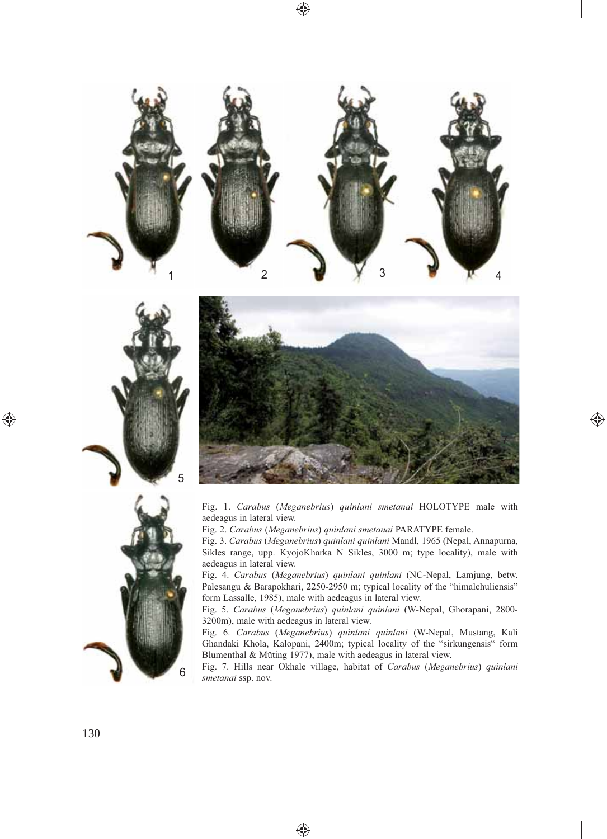



⊕



5

Fig. 1. *Carabus* (*Meganebrius*) *quinlani smetanai* HOLOTYPE male with aedeagus in lateral view.

Fig. 2. *Carabus* (*Meganebrius*) *quinlani smetanai* PARATYPE female.

Fig. 3. *Carabus* (*Meganebrius*) *quinlani quinlani* Mandl, 1965 (Nepal, Annapurna, Sikles range, upp. KyojoKharka N Sikles, 3000 m; type locality), male with aedeagus in lateral view.

Fig. 4. *Carabus* (*Meganebrius*) *quinlani quinlani* (NC-Nepal, Lamjung, betw. Palesangu & Barapokhari, 2250-2950 m; typical locality of the "himalchuliensis" form Lassalle, 1985), male with aedeagus in lateral view.

Fig. 5. *Carabus* (*Meganebrius*) *quinlani quinlani* (W-Nepal, Ghorapani, 2800- 3200m), male with aedeagus in lateral view.

Fig. 6. *Carabus* (*Meganebrius*) *quinlani quinlani* (W-Nepal, Mustang, Kali Ghandaki Khola, Kalopani, 2400m; typical locality of the "sirkungensis" form Blumenthal & Müting 1977), male with aedeagus in lateral view.

Fig. 7. Hills near Okhale village, habitat of *Carabus* (*Meganebrius*) *quinlani smetanai* ssp. nov.

◈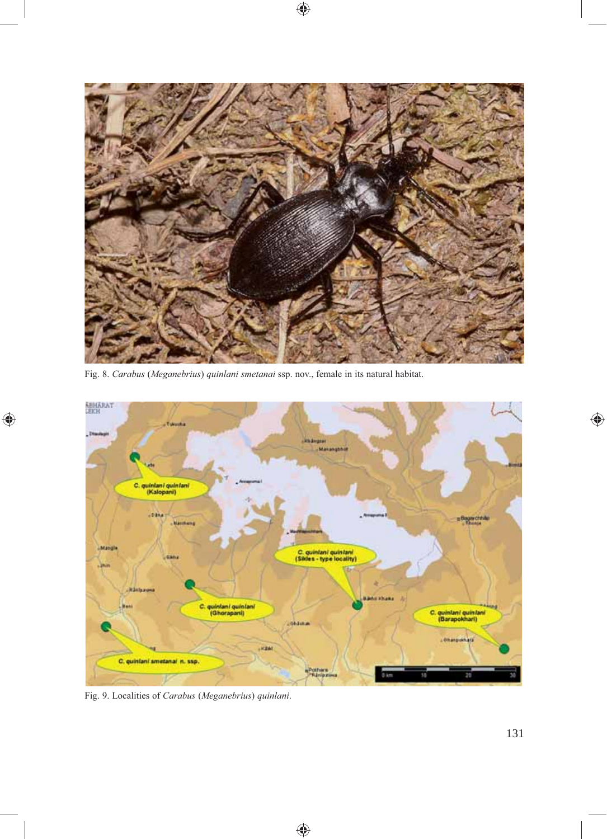

 $\bigoplus$ 

Fig. 8. *Carabus* (*Meganebrius*) *quinlani smetanai* ssp. nov., female in its natural habitat.



 $\bigoplus$ 

Fig. 9. Localities of *Carabus* (*Meganebrius*) *quinlani*.

 $\bigoplus$ 

 $\bigoplus$